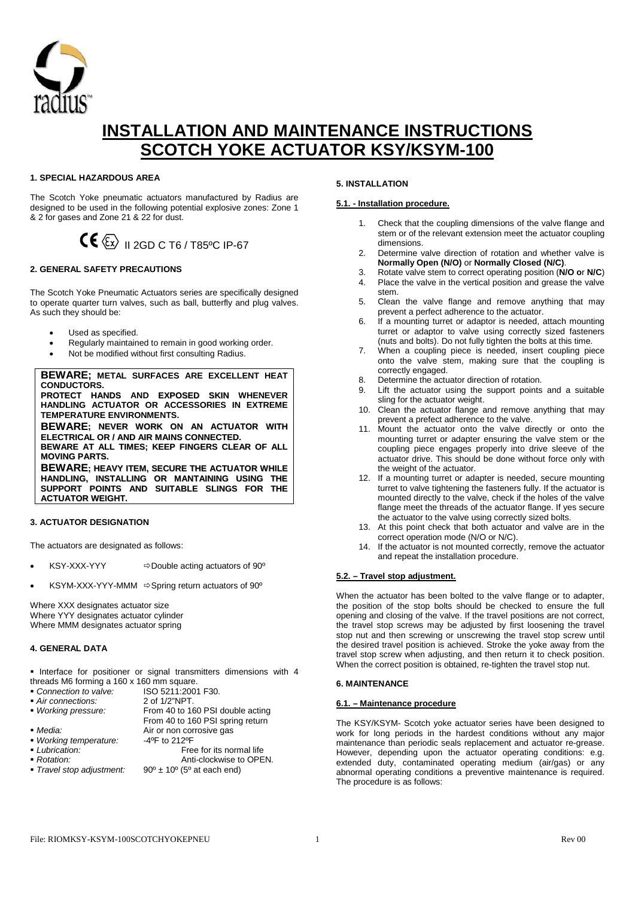

# **INSTALLATION AND MAINTENANCE INSTRUCTIONS SCOTCH YOKE ACTUATOR KSY/KSYM-100**

# **1. SPECIAL HAZARDOUS AREA**

The Scotch Yoke pneumatic actuators manufactured by Radius are designed to be used in the following potential explosive zones: Zone 1 & 2 for gases and Zone 21 & 22 for dust.



## **2. GENERAL SAFETY PRECAUTIONS**

The Scotch Yoke Pneumatic Actuators series are specifically designed to operate quarter turn valves, such as ball, butterfly and plug valves. As such they should be:

- Used as specified.
- Regularly maintained to remain in good working order.
- Not be modified without first consulting Radius.

**BEWARE; METAL SURFACES ARE EXCELLENT HEAT CONDUCTORS. PROTECT HANDS AND EXPOSED SKIN WHENEVER HANDLING ACTUATOR OR ACCESSORIES IN EXTREME TEMPERATURE ENVIRONMENTS. BEWARE; NEVER WORK ON AN ACTUATOR WITH ELECTRICAL OR / AND AIR MAINS CONNECTED. BEWARE AT ALL TIMES; KEEP FINGERS CLEAR OF ALL MOVING PARTS. BEWARE; HEAVY ITEM, SECURE THE ACTUATOR WHILE HANDLING, INSTALLING OR MANTAINING USING THE SUPPORT POINTS AND SUITABLE SLINGS FOR THE**

#### **3. ACTUATOR DESIGNATION**

**ACTUATOR WEIGHT.**

The actuators are designated as follows:

- $KSY-XXX-YYY$   $\Rightarrow$  Double acting actuators of 90 $^{\circ}$
- $KSYM-XXX-YYY-MMM \Rightarrow$  Spring return actuators of 90°

Where XXX designates actuator size Where YYY designates actuator cylinder Where MMM designates actuator spring

#### **4. GENERAL DATA**

**Interface for positioner or signal transmitters dimensions with 4** 

*Working pressure:* From 40 to 160 PSI double acting

*Travel stop adjustment:* 90º ± 10º (5º at each end)

- threads M6 forming a 160 x 160 mm square.<br>Connection to valve: ISO 5211:2001 **ISO 5211:2001 F30.**<br>2 of 1/2"NPT.
- 
- *Air connections:*<br>**2 Working pressure:**
- 

From 40 to 160 PSI spring return **Media:** Air or non corrosive gas<br>**Working temperature:** 4ºF to 212ºF

- *Working temperature:*<br> *Lubrication:* **Lubrication:** Free for its normal life **Rotation:** Free for its normal life **Rotation:**
- 
- **Rotation:** Anti-clockwise to OPEN.<br>**Figure 10** and *Rotation adjustment:* 90<sup>°</sup> ± 10<sup>°</sup> (5<sup>°</sup> at each end)

**5. INSTALLATION**

# **5.1. - Installation procedure.**

- 1. Check that the coupling dimensions of the valve flange and stem or of the relevant extension meet the actuator coupling dimensions.
- 2. Determine valve direction of rotation and whether valve is **Normally Open (N/O)** or **Normally Closed (N/C)**.
- 3. Rotate valve stem to correct operating position (**N/O o**r **N/C**) 4. Place the valve in the vertical position and grease the valve stem.
- 5. Clean the valve flange and remove anything that may prevent a perfect adherence to the actuator.
- 6. If a mounting turret or adaptor is needed, attach mounting turret or adaptor to valve using correctly sized fasteners (nuts and bolts). Do not fully tighten the bolts at this time.
- 7. When a coupling piece is needed, insert coupling piece onto the valve stem, making sure that the coupling is correctly engaged.
- 8. Determine the actuator direction of rotation.
- 9. Lift the actuator using the support points and a suitable sling for the actuator weight.
- 10. Clean the actuator flange and remove anything that may prevent a prefect adherence to the valve.
- 11. Mount the actuator onto the valve directly or onto the mounting turret or adapter ensuring the valve stem or the coupling piece engages properly into drive sleeve of the actuator drive. This should be done without force only with the weight of the actuator.
- 12. If a mounting turret or adapter is needed, secure mounting turret to valve tightening the fasteners fully. If the actuator is mounted directly to the valve, check if the holes of the valve flange meet the threads of the actuator flange. If yes secure the actuator to the valve using correctly sized bolts.
- 13. At this point check that both actuator and valve are in the correct operation mode (N/O or N/C).
- 14. If the actuator is not mounted correctly, remove the actuator and repeat the installation procedure.

#### **5.2. – Travel stop adjustment.**

When the actuator has been bolted to the valve flange or to adapter, the position of the stop bolts should be checked to ensure the full opening and closing of the valve. If the travel positions are not correct, the travel stop screws may be adjusted by first loosening the travel stop nut and then screwing or unscrewing the travel stop screw until the desired travel position is achieved. Stroke the yoke away from the travel stop screw when adjusting, and then return it to check position. When the correct position is obtained, re-tighten the travel stop nut.

#### **6. MAINTENANCE**

# **6.1. – Maintenance procedure**

The KSY/KSYM- Scotch yoke actuator series have been designed to work for long periods in the hardest conditions without any major maintenance than periodic seals replacement and actuator re-grease. However, depending upon the actuator operating conditions: e.g. extended duty, contaminated operating medium (air/gas) or any abnormal operating conditions a preventive maintenance is required. The procedure is as follows: